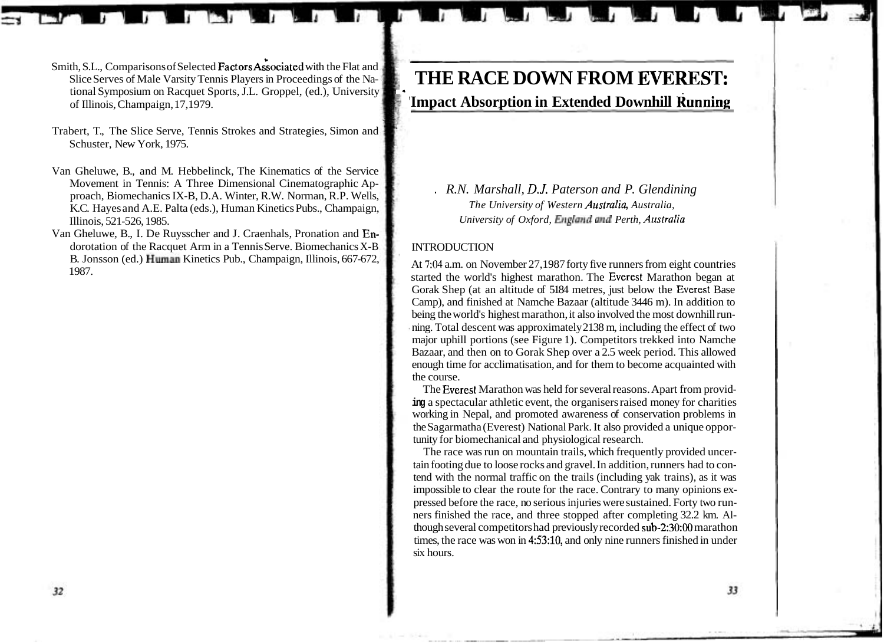# THE RACE DOWN FROM EVEREST: **'Impact Absorption in Extended Downhill Running**

. *R.N. Marshall, D.J. Paterson and P. Glendining The University of Western Australia, Australia, University of Oxford, England and Perth, Australia* 

# INTRODUCTION

\*

At 7:04 a.m. on November 27,1987 forty five runners from eight countries started the world's highest marathon. The Everest Marathon began at Gorak Shep (at an altitude of 5184 metres, just below the Everest Base Camp), and finished at Namche Bazaar (altitude 3446 m). In addition to being the world's highest marathon, it also involved the most downhill running. Total descent was approximately 2138 m, including the effect of two major uphill portions (see Figure 1). Competitors trekked into Namche Bazaar, and then on to Gorak Shep over a 2.5 week period. This allowed enough time for acclimatisation, and for them to become acquainted with the course.

The Everest Marathon was held for several reasons. Apart from provid**ing** a spectacular athletic event, the organisers raised money for charities working in Nepal, and promoted awareness of conservation problems in the Sagarmatha (Everest) National Park. It also provided a unique opportunity for biomechanical and physiological research.

The race was run on mountain trails, which frequently provided uncertain footing due to loose rocks and gravel. In addition, runners had to contend with the normal traffic on the trails (including yak trains), as it was impossible to clear the route for the race. Contrary to many opinions expressed before the race, no serious injuries were sustained. Forty two runners finished the race, and three stopped after completing 32.2 km. Although several competitors had previously recorded sub-2:30:00 marathon times, the race was won in 4:53:10, and only nine runners finished in under six hours.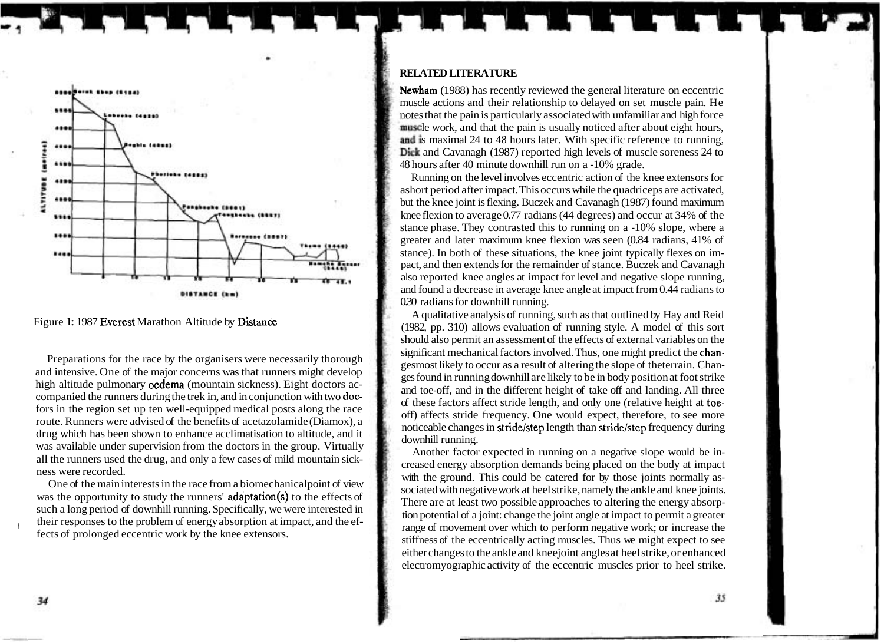

Figure 1: 1987 Everest Marathon Altitude by Distance

Preparations for the race by the organisers were necessarily thorough and intensive. One of the major concerns was that runners might develop high altitude pulmonary oedema (mountain sickness). Eight doctors accompanied the runners during the trek in, and in conjunction with two docfors in the region set up ten well-equipped medical posts along the race route. Runners were advised of the benefits of acetazolamide (Diamox), a drug which has been shown to enhance acclimatisation to altitude, and it was available under supervision from the doctors in the group. Virtually all the runners used the drug, and only a few cases of mild mountain sickness were recorded.

One of the main interests in the race from a biomechanical point of view was the opportunity to study the runners' adaptation(s) to the effects of such a long period of downhill running. Specifically, we were interested in their responses to the problem of energy absorption at impact, and the effects of prolonged eccentric work by the knee extensors.

## **RELATED LITERATURE**

Newham (1988) has recently reviewed the general literature on eccentric muscle actions and their relationship to delayed on set muscle pain. He notes that the pain is particularly associated with unfamiliar and high force muscle work, and that the pain is usually noticed after about eight hours, and is maximal 24 to 48 hours later. With specific reference to running, Dick and Cavanagh (1987) reported high levels of muscle soreness 24 to 48 hours after 40 minute downhill run on a -10% grade.

Running on the level involves eccentric action of the knee extensors for ashort period after impact. This occurs while the quadriceps are activated, but the knee joint is flexing. Buczek and Cavanagh (1987) found maximum knee flexion to average 0.77 radians (44 degrees) and occur at 34% of the stance phase. They contrasted this to running on a -10% slope, where a greater and later maximum knee flexion was seen (0.84 radians, 41% of stance). In both of these situations, the knee joint typically flexes on impact, and then extends for the remainder of stance. Buczek and Cavanagh also reported knee angles at impact for level and negative slope running, and found a decrease in average knee angle at impact from 0.44 radians to 0.30 radians for downhill running.

A qualitative analysis of running, such as that outlined by Hay and Reid (1982, pp. 310) allows evaluation of running style. A model of this sort should also permit an assessment of the effects of external variables on the significant mechanical factors involved. Thus, one might predict the changesmost likely to occur as a result of altering the slope of theterrain. Changes found in running downhill are likely to be in body position at foot strike and toe-off, and in the different height of take off and landing. All three of these factors affect stride length, and only one (relative height at toeoff) affects stride frequency. One would expect, therefore, to see more noticeable changes in stride/step length than stride/step frequency during downhill running.

Another factor expected in running on a negative slope would be increased energy absorption demands being placed on the body at impact with the ground. This could be catered for by those joints normally associated with negative work at heel strike, namely the ankle and knee joints. There are at least two possible approaches to altering the energy absorption potential of a joint: change the joint angle at impact to permit a greater range of movement over which to perform negative work; or increase the stiffness of the eccentrically acting muscles. Thus we might expect to see either changes to the ankle and kneejoint angles at heel strike, or enhanced electromyographic activity of the eccentric muscles prior to heel strike.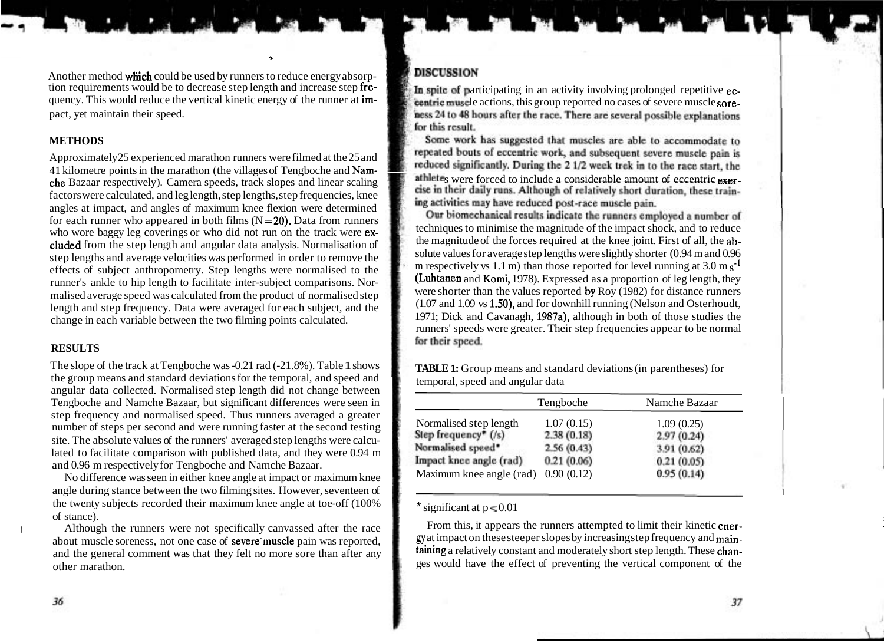Another method which could be used by runners to reduce energy absorp-<br>tion requirements would be to decrease step length and increase step fre-<br>quency. This would reduce the vertical kinetic energy of the runner at im-<br>pact, yet maintain their speed.

**C** 

# **METHODS**

Approximately25 experienced marathon runners were filmed at the 25 and 41 kilometre points in the marathon (the villages of Tengboche and Nam-The Bazaar respectively). Camera speeds, track slopes and linear scaling stable at a sere forced to include a considerable amount of eccentric exer-<br>Sectors were selected and laglangth atop langths atop fragmenias, know th factors were calculated, and leg length, step lengths, step frequencies, knee angles at impact, and angles of maximum knee flexion were determined for each runner who appeared in both films  $(N=20)$ . Data from runners who wore baggy leg coverings or who did not run on the track were  $e^x$  techniques to minimise the magnitude of the impact shock, and to reduce<br>cluded from the standard angular data analysis. Normalisation of the magnitud cluded from the step length and angular data analysis. Normalisation of the magnitude of the forces required at the knee joint. First of all, the ab-<br>solute values for average step lengths were slightly shorter (0.94 m and step lengths and average velocities was performed in order to remove the solute values for average step lengths were slightly shorter (0.94 m and 0.96<br>solute values for average step lengths were slightly shorter (0.94 m a effects of subject anthropometry. Step lengths were normalised to the mespectively vs 1.1 m) than those reported for level running at 3.0 m s<sup>-1</sup><br>(Luhtanen and Komi, 1978). Expressed as a proportion of leg length, they runner's ankle to hip length to facilitate inter-subject comparisons. Nor-<br>maligad average speed was calculated from the product of normaligad stan were shorter than the values reported by Roy (1982) for distance runners malised average speed was calculated from the product of normalised step were shorter than the values reported by Roy (1982) for distance runners<br>(1.07 and 1.09 vs 1.50), and for downhill running (Nelson and Osterhoudt, length and step frequency. Data were averaged for each subject, and the (1.07 and 1.09 vs 1.50), and for downhill running (Nelson and Osterhoudt, change in each variable between the two filming points calculated 1971; Dick change in each variable between the two filming points calculated.

# **RESULTS**

The slope of the track at Tengboche was -0.21 rad (-21.8%). Table 1 shows **TABLE 1:** Group means and standard deviations (in parentheses) for the group means and standard deviations (in parentheses) for temporal, speed and the group means and standard deviations for the temporal, and speed and angular data collected. Normalised step length did not change between Tengboche and Namche Bazaar, but significant differences were seen in step frequency and normalised speed. Thus runners averaged a greater number of steps per second and were running faster at the second testing site. The absolute values of the runners' averaged step lengths were calculated to facilitate comparison with published data, and they were 0.94 m and 0.96 m respectively for Tengboche and Namche Bazaar.

No difference was seen in either knee angle at impact or maximum knee angle during stance between the two filming sites. However, seventeen of the twenty subjects recorded their maximum knee angle at toe-off (100%  $\star$  significant at p < 0.01 of stance).

and the general comment was that they felt no more sore than after any

centric muscle actions, this group reported no cases of severe muscle sore-<br>ness 24 to 48 hours after the race. There are several possible explanations for this result.

Some work has suggested that muscles are able to accommodate to repeated bouts of eccentric work, and subsequent severe muscle pain is reduced significantly. During the 2 1/2 week trek in to the race start, the ing activities may have reduced post-race muscle pain.

Our biomechanical results indicate the runners employed a number of runners' speeds were greater. Their step frequencies appear to be normal

|                          | Tengboche  | Namche Bazaar |
|--------------------------|------------|---------------|
| Normalised step length   | 1.07(0.15) | 1.09(0.25)    |
| Step frequency* (/s)     | 2.38(0.18) | 2.97(0.24)    |
| Normalised speed*        | 2.56(0.43) | 3.91 (0.62)   |
| Impact knee angle (rad)  | 0.21(0.06) | 0.21(0.05)    |
| Maximum knee angle (rad) | 0.90(0.12) | 0.95(0.14)    |

Although the runners were not specifically canvassed after the race From this, it appears the runners attempted to limit their kinetic ener-<br>
gy at impact on these steeper slopes by increasing step frequency and main-Although the runners were not specifically canvassed after the race<br>about muscle soreness, not one case of **severe** muscle pain was reported,<br>and the general comment was that they felt no more sore than after any **taining** other marathon. General component of the sets would have the effect of preventing the vertical component of the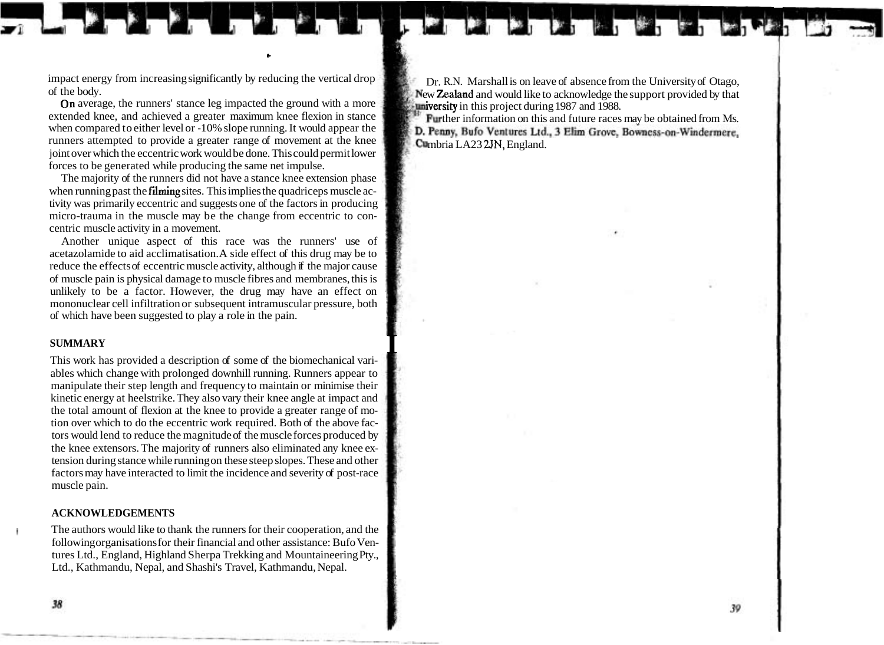**C** 

On average, the runners' stance leg impacted the ground with a more extended knee, and achieved a greater maximum knee flexion in stance when compared to either level or -10% slope running. It would appear the runners attempted to provide a greater range of movement at the knee runners attempted to provide a greater range of movement at the knee **Cumbria LA23 2JN, England.** joint over which the eccentric work would be done. This could permit lower forces to be generated while producing the same net impulse.

The majority of the runners did not have a stance knee extension phase when running past the **filming** sites. This implies the quadriceps muscle activity was primarily eccentric and suggests one of the factors in producing micro-trauma in the muscle may be the change from eccentric to concentric muscle activity in a movement.

Another unique aspect of this race was the runners' use of acetazolamide to aid acclimatisation. A side effect of this drug may be to reduce the effects of eccentric muscle activity, although if the major cause of muscle pain is physical damage to muscle fibres and membranes, this is unlikely to be a factor. However, the drug may have an effect on mononuclear cell infiltration or subsequent intramuscular pressure, both of which have been suggested to play a role in the pain.

**SUMMARY**<br>This work has provided a description of some of the biomechanical variables which change with prolonged downhill running. Runners appear to manipulate their step length and frequency to maintain or minimise their kinetic energy at heelstrike. They also vary their knee angle at impact and the total amount of flexion at the knee to provide a greater range of motion over which to do the eccentric work required. Both of the above factors would lend to reduce the magnitude of the muscle forces produced by the knee extensors. The majority of runners also eliminated any knee extension during stance while running on these steep slopes. These and other factors may have interacted to limit the incidence and severity of post-race muscle pain.

## **ACKNOWLEDGEMENTS**

The authors would like to thank the runners for their cooperation, and the following organisations for their financial and other assistance: Bufo Ventures Ltd., England, Highland Sherpa Trekking and Mountaineering Pty., Ltd., Kathmandu, Nepal, and Shashi's Travel, Kathmandu, Nepal.

**1** 

impact energy from increasing significantly by reducing the vertical drop<br>of the body.<br>On average, the runners' stance leg impacted the ground with a more<br>aland and would like to acknowledge the support provided by that<br> $\$ 

Further information on this and future races may be obtained from Ms.<br>**D. Penny, Bufo Ventures Ltd., 3 Elim Grove, Bowness-on-Windermere.**